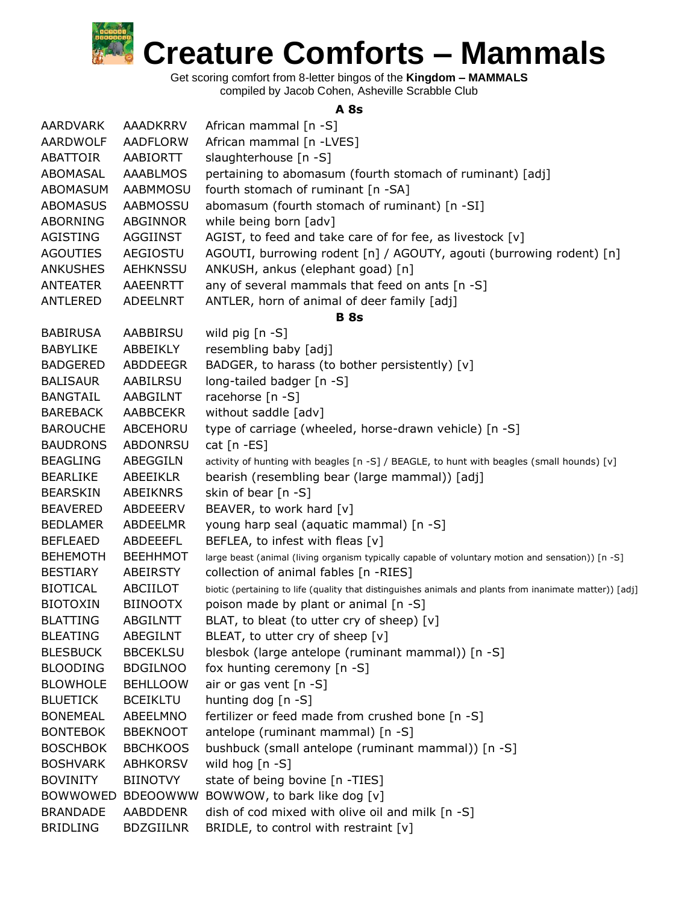

Get scoring comfort from 8-letter bingos of the **Kingdom – MAMMALS** compiled by Jacob Cohen, Asheville Scrabble Club

## **A 8s**

| <b>AARDVARK</b>                    | <b>AAADKRRV</b>                    | African mammal [n -S]                                                                                   |
|------------------------------------|------------------------------------|---------------------------------------------------------------------------------------------------------|
| AARDWOLF                           | AADFLORW                           | African mammal [n -LVES]                                                                                |
| ABATTOIR                           | AABIORTT                           | slaughterhouse [n -S]                                                                                   |
| ABOMASAL                           | AAABLMOS                           | pertaining to abomasum (fourth stomach of ruminant) [adj]                                               |
| <b>ABOMASUM</b>                    | <b>AABMMOSU</b>                    | fourth stomach of ruminant [n -SA]                                                                      |
| <b>ABOMASUS</b>                    | <b>AABMOSSU</b>                    | abomasum (fourth stomach of ruminant) [n -SI]                                                           |
| ABORNING                           | ABGINNOR                           | while being born [adv]                                                                                  |
| AGISTING                           | AGGIINST                           | AGIST, to feed and take care of for fee, as livestock [v]                                               |
| <b>AGOUTIES</b>                    | AEGIOSTU                           | AGOUTI, burrowing rodent [n] / AGOUTY, agouti (burrowing rodent) [n]                                    |
| <b>ANKUSHES</b>                    | <b>AEHKNSSU</b>                    | ANKUSH, ankus (elephant goad) [n]                                                                       |
| ANTEATER                           | AAEENRTT                           | any of several mammals that feed on ants [n -S]                                                         |
| <b>ANTLERED</b>                    | ADEELNRT                           | ANTLER, horn of animal of deer family [adj]                                                             |
|                                    |                                    | <b>B</b> 8s                                                                                             |
| <b>BABIRUSA</b>                    | AABBIRSU                           | wild $\pi$ ig $[n - S]$                                                                                 |
| <b>BABYLIKE</b>                    | ABBEIKLY                           | resembling baby [adj]                                                                                   |
| <b>BADGERED</b>                    | ABDDEEGR                           | BADGER, to harass (to bother persistently) [v]                                                          |
| <b>BALISAUR</b>                    | AABILRSU                           | long-tailed badger [n -S]                                                                               |
| <b>BANGTAIL</b>                    | AABGILNT                           | racehorse [n -S]                                                                                        |
| <b>BAREBACK</b>                    | <b>AABBCEKR</b>                    | without saddle [adv]                                                                                    |
| <b>BAROUCHE</b>                    | ABCEHORU                           | type of carriage (wheeled, horse-drawn vehicle) [n -S]                                                  |
| <b>BAUDRONS</b>                    | <b>ABDONRSU</b>                    | cat $[n - ES]$                                                                                          |
| <b>BEAGLING</b>                    | ABEGGILN                           | activity of hunting with beagles [n -S] / BEAGLE, to hunt with beagles (small hounds) [v]               |
| <b>BEARLIKE</b>                    | <b>ABEEIKLR</b>                    | bearish (resembling bear (large mammal)) [adj]                                                          |
| <b>BEARSKIN</b>                    | ABEIKNRS                           | skin of bear [n -S]                                                                                     |
| <b>BEAVERED</b>                    | ABDEEERV                           | BEAVER, to work hard [v]                                                                                |
| <b>BEDLAMER</b>                    | <b>ABDEELMR</b>                    | young harp seal (aquatic mammal) [n -S]                                                                 |
| <b>BEFLEAED</b>                    | ABDEEEFL                           | BEFLEA, to infest with fleas [v]                                                                        |
| <b>BEHEMOTH</b>                    | <b>BEEHHMOT</b>                    | large beast (animal (living organism typically capable of voluntary motion and sensation)) [n -S]       |
| <b>BESTIARY</b>                    | ABEIRSTY                           | collection of animal fables [n -RIES]                                                                   |
| <b>BIOTICAL</b>                    | ABCIILOT                           | biotic (pertaining to life (quality that distinguishes animals and plants from inanimate matter)) [adj] |
| <b>BIOTOXIN</b>                    | <b>BIINOOTX</b>                    | poison made by plant or animal [n -S]                                                                   |
| <b>BLATTING</b>                    | <b>ABGILNTT</b>                    | BLAT, to bleat (to utter cry of sheep) [v]                                                              |
| <b>BLEATING</b>                    | ABEGILNT                           | BLEAT, to utter cry of sheep [v]                                                                        |
| <b>BLESBUCK</b>                    | <b>BBCEKLSU</b>                    | blesbok (large antelope (ruminant mammal)) [n -S]                                                       |
| <b>BLOODING</b>                    | <b>BDGILNOO</b>                    | fox hunting ceremony $[n -S]$                                                                           |
| <b>BLOWHOLE</b>                    | <b>BEHLLOOW</b>                    | air or gas vent [n -S]                                                                                  |
| <b>BLUETICK</b><br><b>BONEMEAL</b> | <b>BCEIKLTU</b>                    | hunting dog [n -S]                                                                                      |
|                                    | ABEELMNO                           | fertilizer or feed made from crushed bone [n -S]<br>antelope (ruminant mammal) [n -S]                   |
| <b>BONTEBOK</b><br><b>BOSCHBOK</b> | <b>BBEKNOOT</b><br><b>BBCHKOOS</b> | bushbuck (small antelope (ruminant mammal)) [n -S]                                                      |
| <b>BOSHVARK</b>                    | <b>ABHKORSV</b>                    | wild hog [n -S]                                                                                         |
| <b>BOVINITY</b>                    | <b>BIINOTVY</b>                    | state of being bovine [n -TIES]                                                                         |
| <b>BOWWOWED</b>                    | <b>BDEOOWWW</b>                    | BOWWOW, to bark like dog [v]                                                                            |
| <b>BRANDADE</b>                    | <b>AABDDENR</b>                    | dish of cod mixed with olive oil and milk [n -S]                                                        |
| <b>BRIDLING</b>                    | <b>BDZGIILNR</b>                   | BRIDLE, to control with restraint [v]                                                                   |
|                                    |                                    |                                                                                                         |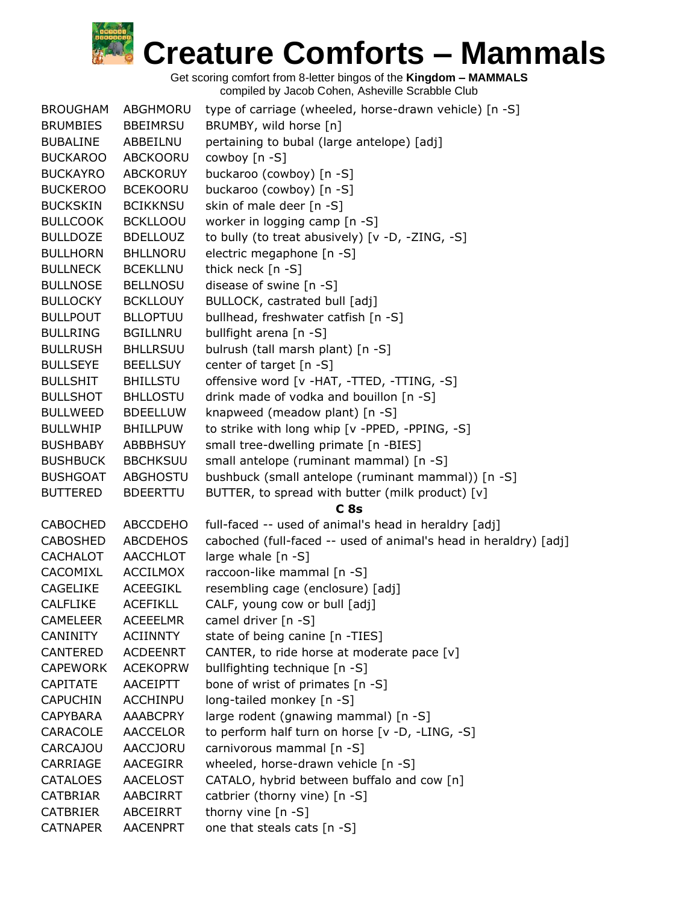| <b>BROUGHAM</b> | ABGHMORU        | type of carriage (wheeled, horse-drawn vehicle) [n -S]           |
|-----------------|-----------------|------------------------------------------------------------------|
| <b>BRUMBIES</b> | <b>BBEIMRSU</b> | BRUMBY, wild horse [n]                                           |
| <b>BUBALINE</b> | ABBEILNU        | pertaining to bubal (large antelope) [adj]                       |
| <b>BUCKAROO</b> | ABCKOORU        | cowboy [n -S]                                                    |
| <b>BUCKAYRO</b> | <b>ABCKORUY</b> | buckaroo (cowboy) [n -S]                                         |
| <b>BUCKEROO</b> | <b>BCEKOORU</b> | buckaroo (cowboy) [n -S]                                         |
| <b>BUCKSKIN</b> | <b>BCIKKNSU</b> | skin of male deer [n -S]                                         |
| <b>BULLCOOK</b> | <b>BCKLLOOU</b> | worker in logging camp [n -S]                                    |
| <b>BULLDOZE</b> | <b>BDELLOUZ</b> | to bully (to treat abusively) [v -D, -ZING, -S]                  |
| <b>BULLHORN</b> | <b>BHLLNORU</b> | electric megaphone [n -S]                                        |
| <b>BULLNECK</b> | <b>BCEKLLNU</b> | thick neck [n -S]                                                |
| <b>BULLNOSE</b> | <b>BELLNOSU</b> | disease of swine [n -S]                                          |
| <b>BULLOCKY</b> | <b>BCKLLOUY</b> | BULLOCK, castrated bull [adj]                                    |
| <b>BULLPOUT</b> | <b>BLLOPTUU</b> | bullhead, freshwater catfish [n -S]                              |
| <b>BULLRING</b> | <b>BGILLNRU</b> | bullfight arena [n -S]                                           |
| <b>BULLRUSH</b> | <b>BHLLRSUU</b> | bulrush (tall marsh plant) [n -S]                                |
| <b>BULLSEYE</b> | <b>BEELLSUY</b> | center of target [n -S]                                          |
| <b>BULLSHIT</b> | <b>BHILLSTU</b> | offensive word [v -HAT, -TTED, -TTING, -S]                       |
| <b>BULLSHOT</b> | <b>BHLLOSTU</b> | drink made of vodka and bouillon [n -S]                          |
| <b>BULLWEED</b> | <b>BDEELLUW</b> | knapweed (meadow plant) [n -S]                                   |
| <b>BULLWHIP</b> | <b>BHILLPUW</b> | to strike with long whip [v -PPED, -PPING, -S]                   |
| <b>BUSHBABY</b> | <b>ABBBHSUY</b> | small tree-dwelling primate [n -BIES]                            |
|                 |                 |                                                                  |
| <b>BUSHBUCK</b> | <b>BBCHKSUU</b> | small antelope (ruminant mammal) [n -S]                          |
| <b>BUSHGOAT</b> | <b>ABGHOSTU</b> | bushbuck (small antelope (ruminant mammal)) [n -S]               |
| <b>BUTTERED</b> | <b>BDEERTTU</b> | BUTTER, to spread with butter (milk product) [v]                 |
|                 |                 | C <sub>8s</sub>                                                  |
| <b>CABOCHED</b> | <b>ABCCDEHO</b> | full-faced -- used of animal's head in heraldry [adj]            |
| <b>CABOSHED</b> | <b>ABCDEHOS</b> | caboched (full-faced -- used of animal's head in heraldry) [adj] |
| <b>CACHALOT</b> | AACCHLOT        | large whale [n -S]                                               |
| CACOMIXL        | ACCILMOX        | raccoon-like mammal [n -S]                                       |
| <b>CAGELIKE</b> | <b>ACEEGIKL</b> | resembling cage (enclosure) [adj]                                |
| <b>CALFLIKE</b> | <b>ACEFIKLL</b> | CALF, young cow or bull [adj]                                    |
| <b>CAMELEER</b> | <b>ACEEELMR</b> | camel driver [n -S]                                              |
| <b>CANINITY</b> | <b>ACIINNTY</b> | state of being canine [n -TIES]                                  |
| CANTERED        | <b>ACDEENRT</b> | CANTER, to ride horse at moderate pace [v]                       |
| <b>CAPEWORK</b> | <b>ACEKOPRW</b> | bullfighting technique [n -S]                                    |
| <b>CAPITATE</b> | <b>AACEIPTT</b> | bone of wrist of primates [n -S]                                 |
| <b>CAPUCHIN</b> | ACCHINPU        | long-tailed monkey [n -S]                                        |
| <b>CAPYBARA</b> | AAABCPRY        | large rodent (gnawing mammal) [n -S]                             |
| CARACOLE        | AACCELOR        | to perform half turn on horse [v -D, -LING, -S]                  |
| <b>CARCAJOU</b> | AACCJORU        | carnivorous mammal [n -S]                                        |
| CARRIAGE        | AACEGIRR        | wheeled, horse-drawn vehicle [n -S]                              |
| <b>CATALOES</b> | <b>AACELOST</b> | CATALO, hybrid between buffalo and cow [n]                       |
| CATBRIAR        | AABCIRRT        | catbrier (thorny vine) [n -S]                                    |
| <b>CATBRIER</b> | ABCEIRRT        | thorny vine [n -S]                                               |
| <b>CATNAPER</b> | <b>AACENPRT</b> | one that steals cats [n -S]                                      |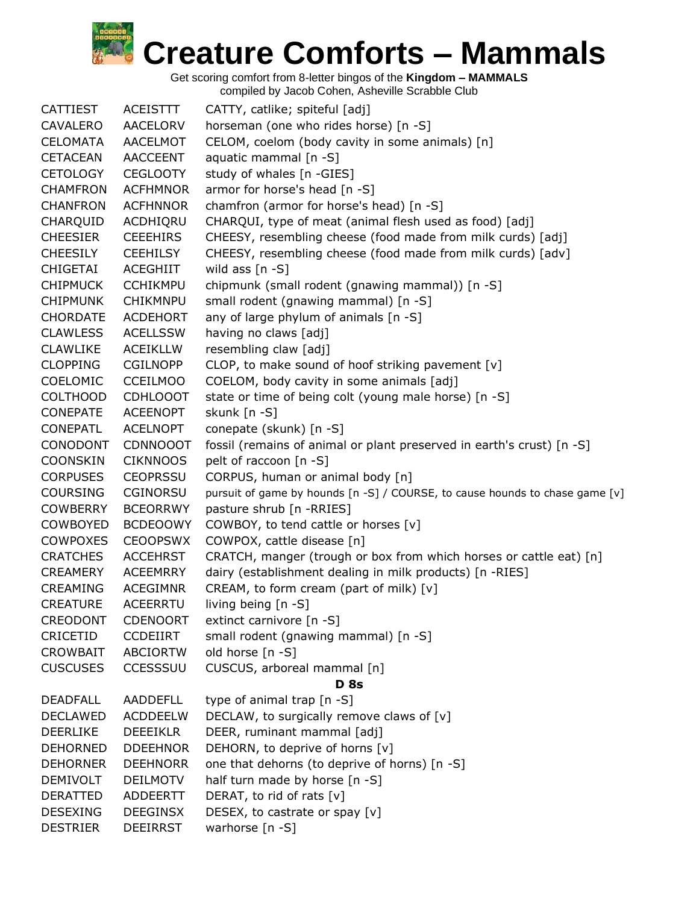Get scoring comfort from 8-letter bingos of the **Kingdom – MAMMALS**

| <b>CATTIEST</b> | <b>ACEISTTT</b> | CATTY, catlike; spiteful [adj]                                               |
|-----------------|-----------------|------------------------------------------------------------------------------|
| CAVALERO        | AACELORV        | horseman (one who rides horse) [n -S]                                        |
| <b>CELOMATA</b> | <b>AACELMOT</b> | CELOM, coelom (body cavity in some animals) [n]                              |
| <b>CETACEAN</b> | <b>AACCEENT</b> | aquatic mammal [n -S]                                                        |
| <b>CETOLOGY</b> | <b>CEGLOOTY</b> | study of whales [n -GIES]                                                    |
| <b>CHAMFRON</b> | <b>ACFHMNOR</b> | armor for horse's head [n -S]                                                |
| <b>CHANFRON</b> | <b>ACFHNNOR</b> | chamfron (armor for horse's head) [n -S]                                     |
| CHARQUID        | ACDHIQRU        | CHARQUI, type of meat (animal flesh used as food) [adj]                      |
| <b>CHEESIER</b> | <b>CEEEHIRS</b> | CHEESY, resembling cheese (food made from milk curds) [adj]                  |
| <b>CHEESILY</b> | <b>CEEHILSY</b> | CHEESY, resembling cheese (food made from milk curds) [adv]                  |
| CHIGETAI        | ACEGHIIT        | wild ass $[n - S]$                                                           |
| <b>CHIPMUCK</b> | <b>CCHIKMPU</b> | chipmunk (small rodent (gnawing mammal)) [n -S]                              |
| <b>CHIPMUNK</b> | <b>CHIKMNPU</b> | small rodent (gnawing mammal) [n -S]                                         |
| <b>CHORDATE</b> | <b>ACDEHORT</b> | any of large phylum of animals [n -S]                                        |
| <b>CLAWLESS</b> | <b>ACELLSSW</b> | having no claws [adj]                                                        |
| <b>CLAWLIKE</b> | <b>ACEIKLLW</b> | resembling claw [adj]                                                        |
| <b>CLOPPING</b> | <b>CGILNOPP</b> | CLOP, to make sound of hoof striking pavement [v]                            |
| <b>COELOMIC</b> | <b>CCEILMOO</b> | COELOM, body cavity in some animals [adj]                                    |
| <b>COLTHOOD</b> | <b>CDHLOOOT</b> | state or time of being colt (young male horse) [n -S]                        |
| <b>CONEPATE</b> | <b>ACEENOPT</b> | skunk [n -S]                                                                 |
| <b>CONEPATL</b> | <b>ACELNOPT</b> | conepate (skunk) [n -S]                                                      |
| CONODONT        | <b>CDNNOOOT</b> | fossil (remains of animal or plant preserved in earth's crust) [n -S]        |
| <b>COONSKIN</b> | <b>CIKNNOOS</b> | pelt of raccoon [n -S]                                                       |
| <b>CORPUSES</b> | <b>CEOPRSSU</b> | CORPUS, human or animal body [n]                                             |
| <b>COURSING</b> | <b>CGINORSU</b> | pursuit of game by hounds [n -S] / COURSE, to cause hounds to chase game [v] |
| <b>COWBERRY</b> | <b>BCEORRWY</b> | pasture shrub [n -RRIES]                                                     |
| COWBOYED        | <b>BCDEOOWY</b> | COWBOY, to tend cattle or horses [v]                                         |
| <b>COWPOXES</b> | <b>CEOOPSWX</b> | COWPOX, cattle disease [n]                                                   |
| <b>CRATCHES</b> | <b>ACCEHRST</b> | CRATCH, manger (trough or box from which horses or cattle eat) [n]           |
| CREAMERY        | <b>ACEEMRRY</b> | dairy (establishment dealing in milk products) [n -RIES]                     |
| CREAMING        | <b>ACEGIMNR</b> | CREAM, to form cream (part of milk) [v]                                      |
| <b>CREATURE</b> | <b>ACEERRTU</b> | living being $[n - S]$                                                       |
| <b>CREODONT</b> | <b>CDENOORT</b> | extinct carnivore [n -S]                                                     |
| CRICETID        | <b>CCDEIIRT</b> | small rodent (gnawing mammal) [n -S]                                         |
| <b>CROWBAIT</b> | <b>ABCIORTW</b> | old horse [n -S]                                                             |
| <b>CUSCUSES</b> | <b>CCESSSUU</b> | CUSCUS, arboreal mammal [n]                                                  |
|                 |                 | <b>D</b> 8s                                                                  |
| <b>DEADFALL</b> | <b>AADDEFLL</b> | type of animal trap [n -S]                                                   |
| <b>DECLAWED</b> | <b>ACDDEELW</b> | DECLAW, to surgically remove claws of [v]                                    |
| <b>DEERLIKE</b> | <b>DEEEIKLR</b> | DEER, ruminant mammal [adj]                                                  |
| <b>DEHORNED</b> | <b>DDEEHNOR</b> | DEHORN, to deprive of horns [v]                                              |
| <b>DEHORNER</b> | <b>DEEHNORR</b> | one that dehorns (to deprive of horns) [n -S]                                |
| <b>DEMIVOLT</b> | <b>DEILMOTV</b> | half turn made by horse [n -S]                                               |
| DERATTED        | ADDEERTT        | DERAT, to rid of rats [v]                                                    |
| <b>DESEXING</b> | <b>DEEGINSX</b> | DESEX, to castrate or spay [v]                                               |
| <b>DESTRIER</b> | <b>DEEIRRST</b> | warhorse [n -S]                                                              |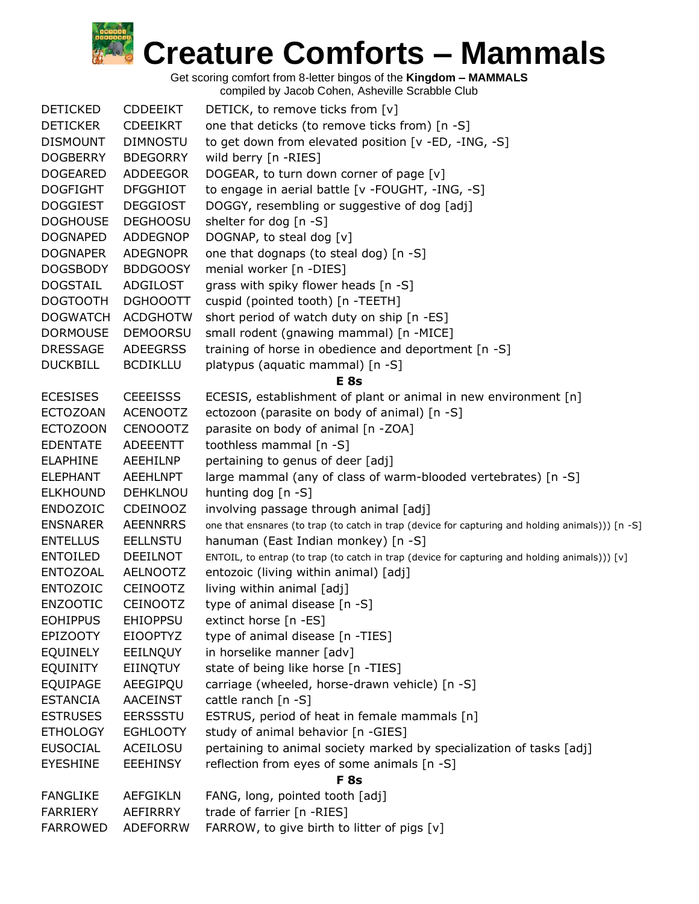

| <b>DETICKED</b> | <b>CDDEEIKT</b> | DETICK, to remove ticks from [v]                                                                 |
|-----------------|-----------------|--------------------------------------------------------------------------------------------------|
| <b>DETICKER</b> | <b>CDEEIKRT</b> | one that deticks (to remove ticks from) [n -S]                                                   |
| <b>DISMOUNT</b> | <b>DIMNOSTU</b> | to get down from elevated position [v -ED, -ING, -S]                                             |
| <b>DOGBERRY</b> | <b>BDEGORRY</b> | wild berry [n -RIES]                                                                             |
| <b>DOGEARED</b> | ADDEEGOR        | DOGEAR, to turn down corner of page [v]                                                          |
| <b>DOGFIGHT</b> | <b>DFGGHIOT</b> | to engage in aerial battle [v -FOUGHT, -ING, -S]                                                 |
| <b>DOGGIEST</b> | <b>DEGGIOST</b> | DOGGY, resembling or suggestive of dog [adj]                                                     |
| <b>DOGHOUSE</b> | <b>DEGHOOSU</b> | shelter for dog [n -S]                                                                           |
| <b>DOGNAPED</b> | <b>ADDEGNOP</b> | DOGNAP, to steal dog [v]                                                                         |
| <b>DOGNAPER</b> | <b>ADEGNOPR</b> | one that dognaps (to steal dog) [n -S]                                                           |
| <b>DOGSBODY</b> | <b>BDDGOOSY</b> | menial worker [n -DIES]                                                                          |
| <b>DOGSTAIL</b> | ADGILOST        | grass with spiky flower heads [n -S]                                                             |
| <b>DOGTOOTH</b> | <b>DGHOOOTT</b> | cuspid (pointed tooth) [n -TEETH]                                                                |
| <b>DOGWATCH</b> | <b>ACDGHOTW</b> | short period of watch duty on ship [n -ES]                                                       |
| <b>DORMOUSE</b> | <b>DEMOORSU</b> | small rodent (gnawing mammal) [n -MICE]                                                          |
| <b>DRESSAGE</b> | <b>ADEEGRSS</b> | training of horse in obedience and deportment [n -S]                                             |
| <b>DUCKBILL</b> | <b>BCDIKLLU</b> | platypus (aquatic mammal) [n -S]                                                                 |
|                 |                 | E <sub>8s</sub>                                                                                  |
| <b>ECESISES</b> | <b>CEEEISSS</b> | ECESIS, establishment of plant or animal in new environment [n]                                  |
| <b>ECTOZOAN</b> | <b>ACENOOTZ</b> | ectozoon (parasite on body of animal) [n -S]                                                     |
| <b>ECTOZOON</b> | <b>CENOOOTZ</b> | parasite on body of animal [n -ZOA]                                                              |
| <b>EDENTATE</b> | ADEEENTT        | toothless mammal [n -S]                                                                          |
| <b>ELAPHINE</b> | AEEHILNP        | pertaining to genus of deer [adj]                                                                |
| <b>ELEPHANT</b> | <b>AEEHLNPT</b> | large mammal (any of class of warm-blooded vertebrates) [n -S]                                   |
| <b>ELKHOUND</b> | <b>DEHKLNOU</b> | hunting dog [n -S]                                                                               |
| <b>ENDOZOIC</b> | <b>CDEINOOZ</b> | involving passage through animal [adj]                                                           |
| <b>ENSNARER</b> | <b>AEENNRRS</b> | one that ensnares (to trap (to catch in trap (device for capturing and holding animals))) [n -S] |
| <b>ENTELLUS</b> | <b>EELLNSTU</b> | hanuman (East Indian monkey) [n -S]                                                              |
| <b>ENTOILED</b> | <b>DEEILNOT</b> | ENTOIL, to entrap (to trap (to catch in trap (device for capturing and holding animals))) [v]    |
| <b>ENTOZOAL</b> | <b>AELNOOTZ</b> | entozoic (living within animal) [adj]                                                            |
| <b>ENTOZOIC</b> | <b>CEINOOTZ</b> | living within animal [adj]                                                                       |
| <b>ENZOOTIC</b> | <b>CEINOOTZ</b> | type of animal disease [n -S]                                                                    |
| <b>EOHIPPUS</b> | <b>EHIOPPSU</b> | extinct horse [n -ES]                                                                            |
| <b>EPIZOOTY</b> | <b>EIOOPTYZ</b> | type of animal disease [n -TIES]                                                                 |
| <b>EQUINELY</b> | EEILNQUY        | in horselike manner [adv]                                                                        |
| <b>EQUINITY</b> | EIINQTUY        | state of being like horse [n -TIES]                                                              |
| <b>EQUIPAGE</b> | AEEGIPQU        | carriage (wheeled, horse-drawn vehicle) [n -S]                                                   |
| <b>ESTANCIA</b> | <b>AACEINST</b> | cattle ranch $[n - S]$                                                                           |
| <b>ESTRUSES</b> | <b>EERSSSTU</b> | ESTRUS, period of heat in female mammals [n]                                                     |
| <b>ETHOLOGY</b> | <b>EGHLOOTY</b> | study of animal behavior [n -GIES]                                                               |
| <b>EUSOCIAL</b> | ACEILOSU        | pertaining to animal society marked by specialization of tasks [adj]                             |
| <b>EYESHINE</b> | <b>EEEHINSY</b> | reflection from eyes of some animals [n -S]                                                      |
|                 |                 | <b>F</b> 8s                                                                                      |
| <b>FANGLIKE</b> | <b>AEFGIKLN</b> | FANG, long, pointed tooth [adj]                                                                  |
| <b>FARRIERY</b> | AEFIRRRY        | trade of farrier [n -RIES]                                                                       |
| <b>FARROWED</b> | <b>ADEFORRW</b> | FARROW, to give birth to litter of pigs [v]                                                      |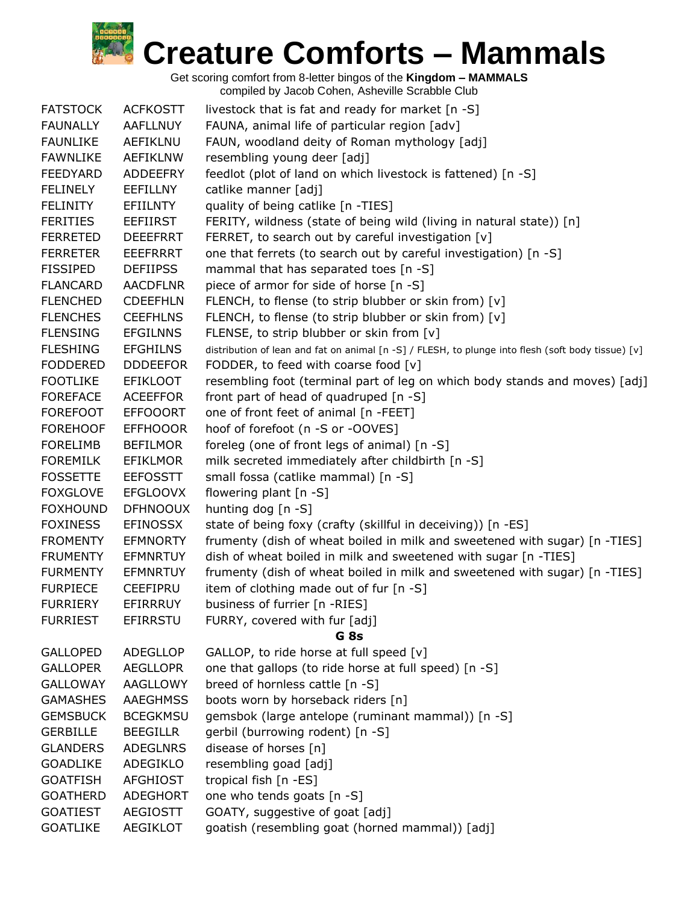

| <b>FATSTOCK</b> | <b>ACFKOSTT</b> | livestock that is fat and ready for market [n -S]                                                  |
|-----------------|-----------------|----------------------------------------------------------------------------------------------------|
| <b>FAUNALLY</b> | <b>AAFLLNUY</b> | FAUNA, animal life of particular region [adv]                                                      |
| <b>FAUNLIKE</b> | <b>AEFIKLNU</b> | FAUN, woodland deity of Roman mythology [adj]                                                      |
| <b>FAWNLIKE</b> | <b>AEFIKLNW</b> | resembling young deer [adj]                                                                        |
| <b>FEEDYARD</b> | ADDEEFRY        | feedlot (plot of land on which livestock is fattened) [n -S]                                       |
| <b>FELINELY</b> | <b>EEFILLNY</b> | catlike manner [adj]                                                                               |
| <b>FELINITY</b> | <b>EFIILNTY</b> | quality of being catlike [n -TIES]                                                                 |
| <b>FERITIES</b> | <b>EEFIIRST</b> | FERITY, wildness (state of being wild (living in natural state)) [n]                               |
| <b>FERRETED</b> | <b>DEEEFRRT</b> | FERRET, to search out by careful investigation [v]                                                 |
| <b>FERRETER</b> | <b>EEEFRRRT</b> | one that ferrets (to search out by careful investigation) [n -S]                                   |
| <b>FISSIPED</b> | <b>DEFIIPSS</b> | mammal that has separated toes [n -S]                                                              |
| <b>FLANCARD</b> | <b>AACDFLNR</b> | piece of armor for side of horse [n -S]                                                            |
| <b>FLENCHED</b> | <b>CDEEFHLN</b> | FLENCH, to flense (to strip blubber or skin from) [v]                                              |
| <b>FLENCHES</b> | <b>CEEFHLNS</b> | FLENCH, to flense (to strip blubber or skin from) [v]                                              |
| <b>FLENSING</b> | <b>EFGILNNS</b> | FLENSE, to strip blubber or skin from [v]                                                          |
| <b>FLESHING</b> | <b>EFGHILNS</b> | distribution of lean and fat on animal [n -S] / FLESH, to plunge into flesh (soft body tissue) [v] |
| <b>FODDERED</b> | <b>DDDEEFOR</b> | FODDER, to feed with coarse food [v]                                                               |
| <b>FOOTLIKE</b> | <b>EFIKLOOT</b> | resembling foot (terminal part of leg on which body stands and moves) [adj]                        |
| <b>FOREFACE</b> | <b>ACEEFFOR</b> | front part of head of quadruped [n -S]                                                             |
| <b>FOREFOOT</b> | <b>EFFOOORT</b> | one of front feet of animal [n -FEET]                                                              |
| <b>FOREHOOF</b> | <b>EFFHOOOR</b> | hoof of forefoot (n -S or -OOVES]                                                                  |
| <b>FORELIMB</b> | <b>BEFILMOR</b> | foreleg (one of front legs of animal) [n -S]                                                       |
| <b>FOREMILK</b> | <b>EFIKLMOR</b> | milk secreted immediately after childbirth [n -S]                                                  |
| <b>FOSSETTE</b> | <b>EEFOSSTT</b> | small fossa (catlike mammal) [n -S]                                                                |
| <b>FOXGLOVE</b> | <b>EFGLOOVX</b> | flowering plant [n -S]                                                                             |
| <b>FOXHOUND</b> | <b>DFHNOOUX</b> | hunting dog [n -S]                                                                                 |
| <b>FOXINESS</b> | <b>EFINOSSX</b> | state of being foxy (crafty (skillful in deceiving)) [n -ES]                                       |
| <b>FROMENTY</b> | <b>EFMNORTY</b> | frumenty (dish of wheat boiled in milk and sweetened with sugar) [n -TIES]                         |
| <b>FRUMENTY</b> | <b>EFMNRTUY</b> | dish of wheat boiled in milk and sweetened with sugar [n -TIES]                                    |
| <b>FURMENTY</b> | <b>EFMNRTUY</b> | frumenty (dish of wheat boiled in milk and sweetened with sugar) [n -TIES]                         |
| <b>FURPIECE</b> | <b>CEEFIPRU</b> | item of clothing made out of fur $[n - S]$                                                         |
| <b>FURRIERY</b> | EFIRRRUY        | business of furrier [n -RIES]                                                                      |
| <b>FURRIEST</b> | EFIRRSTU        | FURRY, covered with fur [adj]                                                                      |
|                 |                 | G <sub>8s</sub>                                                                                    |
| <b>GALLOPED</b> | <b>ADEGLLOP</b> | GALLOP, to ride horse at full speed [v]                                                            |
| <b>GALLOPER</b> | <b>AEGLLOPR</b> | one that gallops (to ride horse at full speed) [n -S]                                              |
| <b>GALLOWAY</b> | <b>AAGLLOWY</b> | breed of hornless cattle [n -S]                                                                    |
| <b>GAMASHES</b> | <b>AAEGHMSS</b> | boots worn by horseback riders [n]                                                                 |
| <b>GEMSBUCK</b> | <b>BCEGKMSU</b> | gemsbok (large antelope (ruminant mammal)) [n -S]                                                  |
| <b>GERBILLE</b> | <b>BEEGILLR</b> | gerbil (burrowing rodent) [n -S]                                                                   |
| <b>GLANDERS</b> | <b>ADEGLNRS</b> | disease of horses [n]                                                                              |
| <b>GOADLIKE</b> | ADEGIKLO        | resembling goad [adj]                                                                              |
| <b>GOATFISH</b> | <b>AFGHIOST</b> | tropical fish [n -ES]                                                                              |
| <b>GOATHERD</b> | <b>ADEGHORT</b> | one who tends goats [n -S]                                                                         |
| <b>GOATIEST</b> | <b>AEGIOSTT</b> | GOATY, suggestive of goat [adj]                                                                    |
| <b>GOATLIKE</b> | <b>AEGIKLOT</b> | goatish (resembling goat (horned mammal)) [adj]                                                    |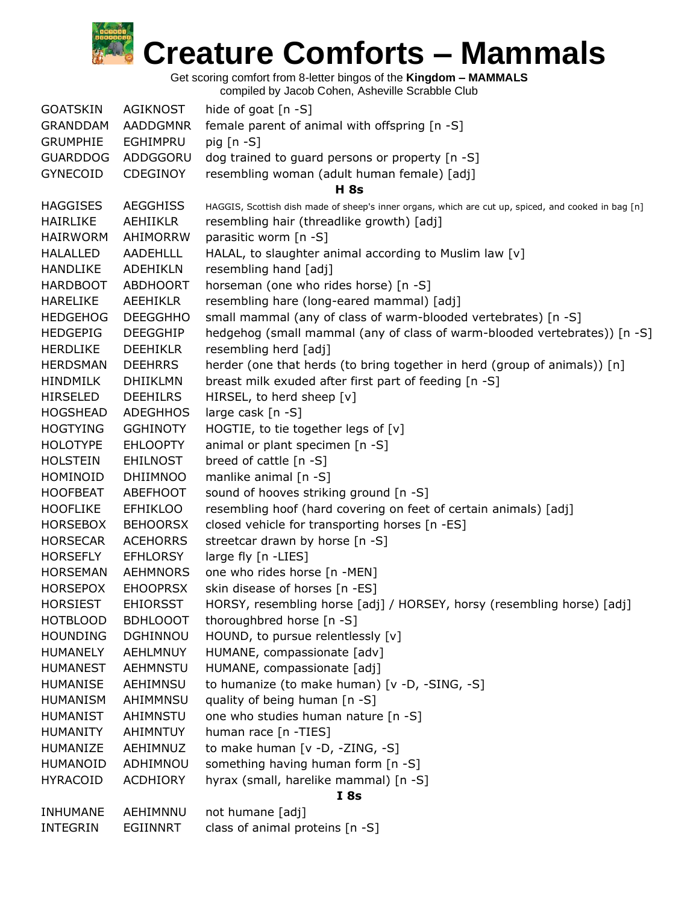

Get scoring comfort from 8-letter bingos of the **Kingdom – MAMMALS**

| <b>GOATSKIN</b> | <b>AGIKNOST</b> | hide of goat $[n - S]$                                                                              |
|-----------------|-----------------|-----------------------------------------------------------------------------------------------------|
| <b>GRANDDAM</b> | <b>AADDGMNR</b> | female parent of animal with offspring [n -S]                                                       |
| <b>GRUMPHIE</b> | EGHIMPRU        | pig $[n - S]$                                                                                       |
| <b>GUARDDOG</b> | ADDGGORU        | dog trained to guard persons or property [n -S]                                                     |
| <b>GYNECOID</b> | CDEGINOY        | resembling woman (adult human female) [adj]                                                         |
|                 |                 | <b>H</b> 8s                                                                                         |
| <b>HAGGISES</b> | <b>AEGGHISS</b> | HAGGIS, Scottish dish made of sheep's inner organs, which are cut up, spiced, and cooked in bag [n] |
| <b>HAIRLIKE</b> | <b>AEHIIKLR</b> | resembling hair (threadlike growth) [adj]                                                           |
| <b>HAIRWORM</b> | AHIMORRW        | parasitic worm [n -S]                                                                               |
| <b>HALALLED</b> | <b>AADEHLLL</b> | HALAL, to slaughter animal according to Muslim law [v]                                              |
| <b>HANDLIKE</b> | ADEHIKLN        | resembling hand [adj]                                                                               |
| <b>HARDBOOT</b> | <b>ABDHOORT</b> | horseman (one who rides horse) [n -S]                                                               |
| <b>HARELIKE</b> | <b>AEEHIKLR</b> | resembling hare (long-eared mammal) [adj]                                                           |
| <b>HEDGEHOG</b> | <b>DEEGGHHO</b> | small mammal (any of class of warm-blooded vertebrates) [n -S]                                      |
| <b>HEDGEPIG</b> | <b>DEEGGHIP</b> | hedgehog (small mammal (any of class of warm-blooded vertebrates)) [n -S]                           |
| <b>HERDLIKE</b> | <b>DEEHIKLR</b> | resembling herd [adj]                                                                               |
| <b>HERDSMAN</b> | <b>DEEHRRS</b>  | herder (one that herds (to bring together in herd (group of animals)) [n]                           |
| <b>HINDMILK</b> | <b>DHIIKLMN</b> | breast milk exuded after first part of feeding [n -S]                                               |
| <b>HIRSELED</b> | <b>DEEHILRS</b> | HIRSEL, to herd sheep [v]                                                                           |
| <b>HOGSHEAD</b> | <b>ADEGHHOS</b> | large cask [n -S]                                                                                   |
| <b>HOGTYING</b> | <b>GGHINOTY</b> | HOGTIE, to tie together legs of [v]                                                                 |
| <b>HOLOTYPE</b> | <b>EHLOOPTY</b> | animal or plant specimen [n -S]                                                                     |
| <b>HOLSTEIN</b> | <b>EHILNOST</b> | breed of cattle [n -S]                                                                              |
| HOMINOID        | <b>DHIIMNOO</b> | manlike animal [n -S]                                                                               |
| <b>HOOFBEAT</b> | ABEFHOOT        | sound of hooves striking ground [n -S]                                                              |
| <b>HOOFLIKE</b> | <b>EFHIKLOO</b> | resembling hoof (hard covering on feet of certain animals) [adj]                                    |
| <b>HORSEBOX</b> | <b>BEHOORSX</b> | closed vehicle for transporting horses [n -ES]                                                      |
| <b>HORSECAR</b> | <b>ACEHORRS</b> | streetcar drawn by horse [n -S]                                                                     |
| <b>HORSEFLY</b> | <b>EFHLORSY</b> | large fly [n -LIES]                                                                                 |
| <b>HORSEMAN</b> | <b>AEHMNORS</b> | one who rides horse [n -MEN]                                                                        |
| <b>HORSEPOX</b> | <b>EHOOPRSX</b> | skin disease of horses [n -ES]                                                                      |
| <b>HORSIEST</b> | <b>EHIORSST</b> | HORSY, resembling horse [adj] / HORSEY, horsy (resembling horse) [adj]                              |
| <b>HOTBLOOD</b> | <b>BDHLOOOT</b> | thoroughbred horse [n -S]                                                                           |
| <b>HOUNDING</b> | DGHINNOU        | HOUND, to pursue relentlessly [v]                                                                   |
| <b>HUMANELY</b> | <b>AEHLMNUY</b> | HUMANE, compassionate [adv]                                                                         |
| <b>HUMANEST</b> | AEHMNSTU        | HUMANE, compassionate [adj]                                                                         |
| <b>HUMANISE</b> | AEHIMNSU        | to humanize (to make human) [v -D, -SING, -S]                                                       |
| <b>HUMANISM</b> | AHIMMNSU        | quality of being human [n -S]                                                                       |
| <b>HUMANIST</b> | AHIMNSTU        | one who studies human nature [n -S]                                                                 |
| <b>HUMANITY</b> | AHIMNTUY        | human race [n -TIES]                                                                                |
| HUMANIZE        | AEHIMNUZ        | to make human [v -D, -ZING, -S]                                                                     |
| <b>HUMANOID</b> | ADHIMNOU        | something having human form [n -S]                                                                  |
| <b>HYRACOID</b> | <b>ACDHIORY</b> | hyrax (small, harelike mammal) [n -S]                                                               |
|                 |                 | <b>I</b> 8s                                                                                         |
| <b>INHUMANE</b> | AEHIMNNU        | not humane [adj]                                                                                    |
| <b>INTEGRIN</b> | EGIINNRT        | class of animal proteins [n -S]                                                                     |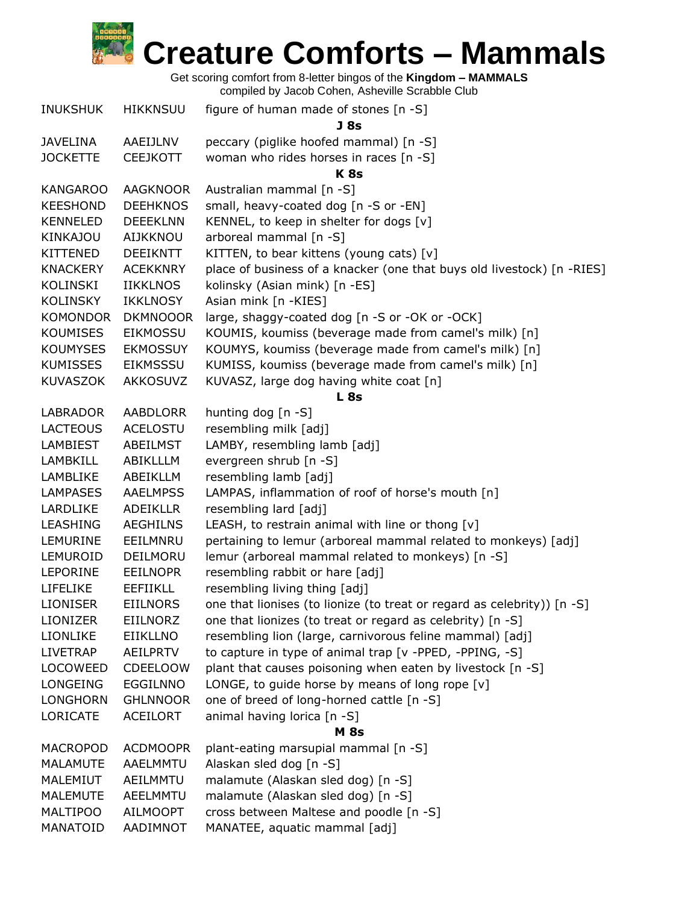

|                 |                 | $\frac{1}{2}$                                                           |
|-----------------|-----------------|-------------------------------------------------------------------------|
| <b>INUKSHUK</b> | <b>HIKKNSUU</b> | figure of human made of stones [n -S]                                   |
| <b>JAVELINA</b> | AAEIJLNV        | J 8s<br>peccary (piglike hoofed mammal) [n -S]                          |
| <b>JOCKETTE</b> | <b>CEEJKOTT</b> | woman who rides horses in races [n -S]                                  |
|                 |                 | K <sub>8s</sub>                                                         |
| <b>KANGAROO</b> | <b>AAGKNOOR</b> | Australian mammal [n -S]                                                |
| <b>KEESHOND</b> | <b>DEEHKNOS</b> | small, heavy-coated dog [n -S or -EN]                                   |
| <b>KENNELED</b> | <b>DEEEKLNN</b> | KENNEL, to keep in shelter for dogs [v]                                 |
| KINKAJOU        | <b>AIJKKNOU</b> | arboreal mammal [n -S]                                                  |
| <b>KITTENED</b> | <b>DEEIKNTT</b> | KITTEN, to bear kittens (young cats) [v]                                |
| <b>KNACKERY</b> | <b>ACEKKNRY</b> | place of business of a knacker (one that buys old livestock) [n -RIES]  |
| KOLINSKI        | <b>IIKKLNOS</b> | kolinsky (Asian mink) [n -ES]                                           |
| <b>KOLINSKY</b> | <b>IKKLNOSY</b> | Asian mink [n -KIES]                                                    |
| <b>KOMONDOR</b> | <b>DKMNOOOR</b> | large, shaggy-coated dog [n -S or -OK or -OCK]                          |
| <b>KOUMISES</b> | <b>EIKMOSSU</b> | KOUMIS, koumiss (beverage made from camel's milk) [n]                   |
| <b>KOUMYSES</b> | <b>EKMOSSUY</b> | KOUMYS, koumiss (beverage made from camel's milk) [n]                   |
| <b>KUMISSES</b> | <b>EIKMSSSU</b> | KUMISS, koumiss (beverage made from camel's milk) [n]                   |
| <b>KUVASZOK</b> | <b>AKKOSUVZ</b> | KUVASZ, large dog having white coat [n]                                 |
|                 |                 | <b>L</b> 8s                                                             |
| <b>LABRADOR</b> | <b>AABDLORR</b> | hunting dog [n -S]                                                      |
| <b>LACTEOUS</b> | <b>ACELOSTU</b> | resembling milk [adj]                                                   |
| <b>LAMBIEST</b> | ABEILMST        | LAMBY, resembling lamb [adj]                                            |
| LAMBKILL        | ABIKLLLM        | evergreen shrub [n -S]                                                  |
| LAMBLIKE        | ABEIKLLM        | resembling lamb [adj]                                                   |
| <b>LAMPASES</b> | <b>AAELMPSS</b> | LAMPAS, inflammation of roof of horse's mouth [n]                       |
| LARDLIKE        | <b>ADEIKLLR</b> | resembling lard [adj]                                                   |
| <b>LEASHING</b> | <b>AEGHILNS</b> | LEASH, to restrain animal with line or thong [v]                        |
| LEMURINE        | EEILMNRU        | pertaining to lemur (arboreal mammal related to monkeys) [adj]          |
| LEMUROID        | DEILMORU        | lemur (arboreal mammal related to monkeys) [n -S]                       |
| <b>LEPORINE</b> | <b>EEILNOPR</b> | resembling rabbit or hare [adj]                                         |
| <b>LIFELIKE</b> | <b>EEFIIKLL</b> | resembling living thing [adj]                                           |
| <b>LIONISER</b> | <b>EIILNORS</b> | one that lionises (to lionize (to treat or regard as celebrity)) [n -S] |
| <b>LIONIZER</b> | EIILNORZ        | one that lionizes (to treat or regard as celebrity) [n -S]              |
| LIONLIKE        | <b>EIIKLLNO</b> | resembling lion (large, carnivorous feline mammal) [adj]                |
| <b>LIVETRAP</b> | <b>AEILPRTV</b> | to capture in type of animal trap [v -PPED, -PPING, -S]                 |
| <b>LOCOWEED</b> | <b>CDEELOOW</b> | plant that causes poisoning when eaten by livestock [n -S]              |
| LONGEING        | <b>EGGILNNO</b> | LONGE, to guide horse by means of long rope $[v]$                       |
| LONGHORN        | <b>GHLNNOOR</b> | one of breed of long-horned cattle [n -S]                               |
| <b>LORICATE</b> | <b>ACEILORT</b> | animal having lorica [n -S]                                             |
|                 |                 | <b>M</b> 8s                                                             |
| <b>MACROPOD</b> | <b>ACDMOOPR</b> | plant-eating marsupial mammal [n -S]                                    |
| <b>MALAMUTE</b> | AAELMMTU        | Alaskan sled dog [n -S]                                                 |
| MALEMIUT        | AEILMMTU        | malamute (Alaskan sled dog) [n -S]                                      |
| <b>MALEMUTE</b> | AEELMMTU        | malamute (Alaskan sled dog) [n -S]                                      |
| MALTIPOO        | <b>AILMOOPT</b> | cross between Maltese and poodle [n -S]                                 |
| MANATOID        | AADIMNOT        | MANATEE, aquatic mammal [adj]                                           |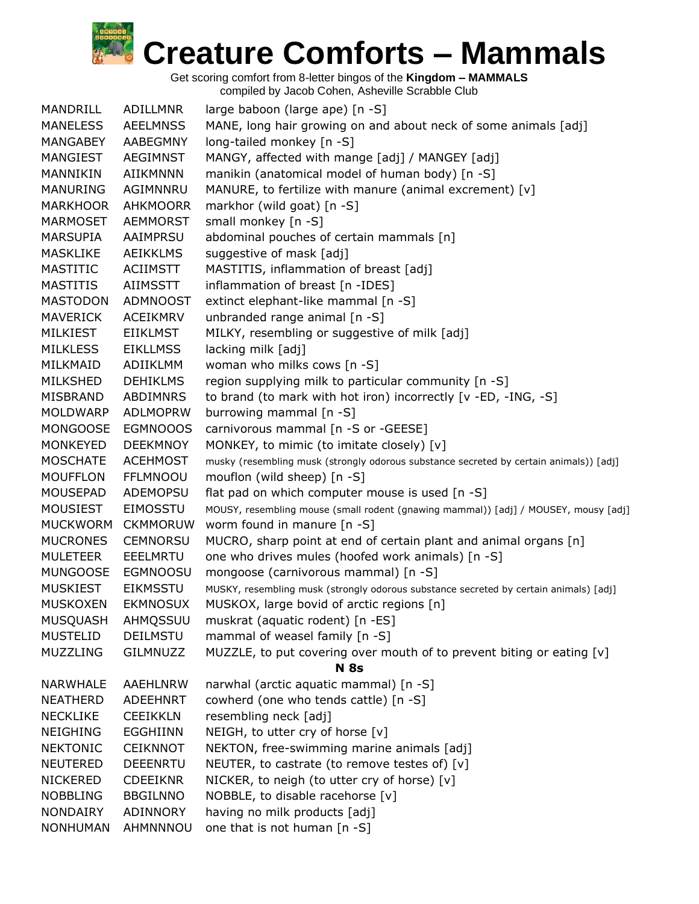

| MANDRILL        | ADILLMNR        | large baboon (large ape) [n -S]                                                        |
|-----------------|-----------------|----------------------------------------------------------------------------------------|
| <b>MANELESS</b> | <b>AEELMNSS</b> | MANE, long hair growing on and about neck of some animals [adj]                        |
| MANGABEY        | AABEGMNY        | long-tailed monkey [n -S]                                                              |
| MANGIEST        | AEGIMNST        | MANGY, affected with mange [adj] / MANGEY [adj]                                        |
| MANNIKIN        | <b>AIIKMNNN</b> | manikin (anatomical model of human body) [n -S]                                        |
| <b>MANURING</b> | AGIMNNRU        | MANURE, to fertilize with manure (animal excrement) [v]                                |
| <b>MARKHOOR</b> | <b>AHKMOORR</b> | markhor (wild goat) [n -S]                                                             |
| <b>MARMOSET</b> | <b>AEMMORST</b> | small monkey [n -S]                                                                    |
| <b>MARSUPIA</b> | AAIMPRSU        | abdominal pouches of certain mammals [n]                                               |
| <b>MASKLIKE</b> | <b>AEIKKLMS</b> | suggestive of mask [adj]                                                               |
| <b>MASTITIC</b> | <b>ACIIMSTT</b> | MASTITIS, inflammation of breast [adj]                                                 |
|                 |                 |                                                                                        |
| <b>MASTITIS</b> | AIIMSSTT        | inflammation of breast [n -IDES]                                                       |
| <b>MASTODON</b> | ADMNOOST        | extinct elephant-like mammal [n -S]                                                    |
| <b>MAVERICK</b> | <b>ACEIKMRV</b> | unbranded range animal [n -S]                                                          |
| <b>MILKIEST</b> | <b>EIIKLMST</b> | MILKY, resembling or suggestive of milk [adj]                                          |
| <b>MILKLESS</b> | <b>EIKLLMSS</b> | lacking milk [adj]                                                                     |
| MILKMAID        | ADIIKLMM        | woman who milks cows [n -S]                                                            |
| <b>MILKSHED</b> | <b>DEHIKLMS</b> | region supplying milk to particular community [n -S]                                   |
| MISBRAND        | ABDIMNRS        | to brand (to mark with hot iron) incorrectly [v -ED, -ING, -S]                         |
| <b>MOLDWARP</b> | <b>ADLMOPRW</b> | burrowing mammal [n -S]                                                                |
| <b>MONGOOSE</b> | <b>EGMNOOOS</b> | carnivorous mammal [n -S or -GEESE]                                                    |
| <b>MONKEYED</b> | <b>DEEKMNOY</b> | MONKEY, to mimic (to imitate closely) [v]                                              |
| <b>MOSCHATE</b> | <b>ACEHMOST</b> | musky (resembling musk (strongly odorous substance secreted by certain animals)) [adj] |
| <b>MOUFFLON</b> | <b>FFLMNOOU</b> | mouflon (wild sheep) [n -S]                                                            |
| MOUSEPAD        | ADEMOPSU        | flat pad on which computer mouse is used [n -S]                                        |
| <b>MOUSIEST</b> | <b>EIMOSSTU</b> | MOUSY, resembling mouse (small rodent (gnawing mammal)) [adj] / MOUSEY, mousy [adj]    |
| <b>MUCKWORM</b> | <b>CKMMORUW</b> | worm found in manure [n -S]                                                            |
| <b>MUCRONES</b> | <b>CEMNORSU</b> | MUCRO, sharp point at end of certain plant and animal organs [n]                       |
| <b>MULETEER</b> | EEELMRTU        | one who drives mules (hoofed work animals) [n -S]                                      |
| <b>MUNGOOSE</b> | <b>EGMNOOSU</b> | mongoose (carnivorous mammal) [n -S]                                                   |
| <b>MUSKIEST</b> | <b>EIKMSSTU</b> | MUSKY, resembling musk (strongly odorous substance secreted by certain animals) [adj]  |
| <b>MUSKOXEN</b> | <b>EKMNOSUX</b> | MUSKOX, large bovid of arctic regions [n]                                              |
| <b>MUSQUASH</b> | AHMQSSUU        | muskrat (aquatic rodent) [n -ES]                                                       |
| <b>MUSTELID</b> | <b>DEILMSTU</b> | mammal of weasel family [n -S]                                                         |
| MUZZLING        | <b>GILMNUZZ</b> | MUZZLE, to put covering over mouth of to prevent biting or eating [v]                  |
|                 |                 | <b>N</b> 8s                                                                            |
| NARWHALE        | <b>AAEHLNRW</b> | narwhal (arctic aquatic mammal) [n -S]                                                 |
| <b>NEATHERD</b> | <b>ADEEHNRT</b> | cowherd (one who tends cattle) [n -S]                                                  |
| <b>NECKLIKE</b> | <b>CEEIKKLN</b> | resembling neck [adj]                                                                  |
| <b>NEIGHING</b> | <b>EGGHIINN</b> | NEIGH, to utter cry of horse [v]                                                       |
| <b>NEKTONIC</b> | <b>CEIKNNOT</b> | NEKTON, free-swimming marine animals [adj]                                             |
| <b>NEUTERED</b> | <b>DEEENRTU</b> | NEUTER, to castrate (to remove testes of) [v]                                          |
| <b>NICKERED</b> | <b>CDEEIKNR</b> | NICKER, to neigh (to utter cry of horse) [v]                                           |
| <b>NOBBLING</b> | <b>BBGILNNO</b> | NOBBLE, to disable racehorse [v]                                                       |
| NONDAIRY        | ADINNORY        | having no milk products [adj]                                                          |
| <b>NONHUMAN</b> | AHMNNNOU        | one that is not human [n -S]                                                           |
|                 |                 |                                                                                        |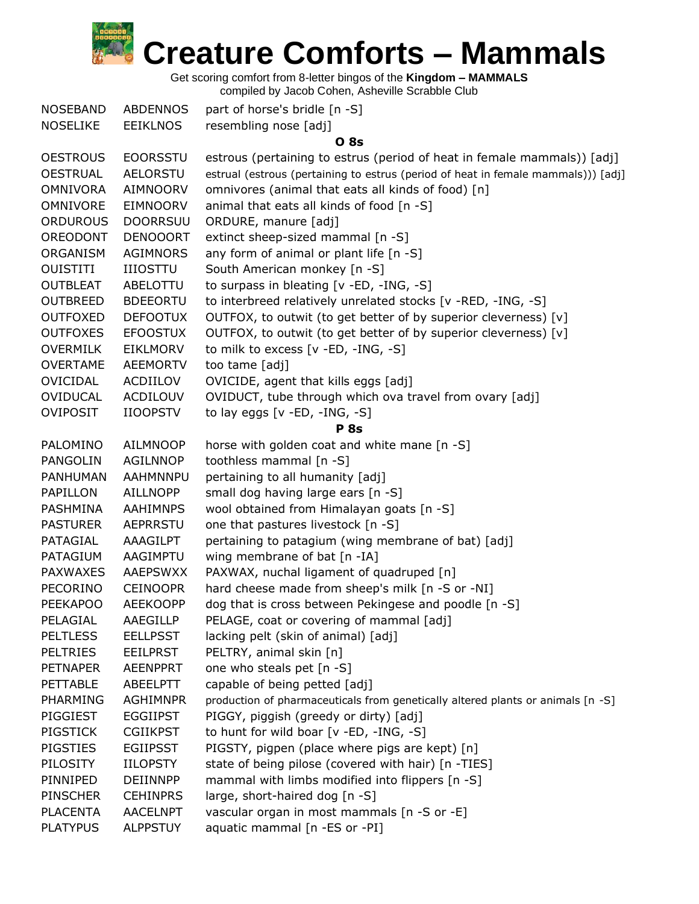

Get scoring comfort from 8-letter bingos of the **Kingdom – MAMMALS**

| <b>NOSEBAND</b> | <b>ABDENNOS</b> | part of horse's bridle [n -S]                                                     |
|-----------------|-----------------|-----------------------------------------------------------------------------------|
| <b>NOSELIKE</b> | <b>EEIKLNOS</b> | resembling nose [adj]                                                             |
|                 |                 | <b>O</b> 8s                                                                       |
| <b>OESTROUS</b> | <b>EOORSSTU</b> | estrous (pertaining to estrus (period of heat in female mammals)) [adj]           |
| <b>OESTRUAL</b> | <b>AELORSTU</b> | estrual (estrous (pertaining to estrus (period of heat in female mammals))) [adj] |
| <b>OMNIVORA</b> | <b>AIMNOORV</b> | omnivores (animal that eats all kinds of food) [n]                                |
| OMNIVORE        | <b>EIMNOORV</b> | animal that eats all kinds of food [n -S]                                         |
| <b>ORDUROUS</b> | <b>DOORRSUU</b> | ORDURE, manure [adj]                                                              |
| OREODONT        | <b>DENOOORT</b> | extinct sheep-sized mammal [n -S]                                                 |
| ORGANISM        | <b>AGIMNORS</b> | any form of animal or plant life [n -S]                                           |
| <b>OUISTITI</b> | <b>IIIOSTTU</b> | South American monkey [n -S]                                                      |
| <b>OUTBLEAT</b> | ABELOTTU        | to surpass in bleating [v -ED, -ING, -S]                                          |
| <b>OUTBREED</b> | <b>BDEEORTU</b> | to interbreed relatively unrelated stocks [v -RED, -ING, -S]                      |
| <b>OUTFOXED</b> | <b>DEFOOTUX</b> | OUTFOX, to outwit (to get better of by superior cleverness) [v]                   |
| <b>OUTFOXES</b> | <b>EFOOSTUX</b> | OUTFOX, to outwit (to get better of by superior cleverness) [v]                   |
| <b>OVERMILK</b> | <b>EIKLMORV</b> | to milk to excess [v -ED, -ING, -S]                                               |
| <b>OVERTAME</b> | <b>AEEMORTV</b> | too tame [adj]                                                                    |
| OVICIDAL        | ACDIILOV        | OVICIDE, agent that kills eggs [adj]                                              |
| <b>OVIDUCAL</b> | ACDILOUV        | OVIDUCT, tube through which ova travel from ovary [adj]                           |
| <b>OVIPOSIT</b> | <b>IIOOPSTV</b> | to lay eggs $[v - ED, -ING, -S]$                                                  |
|                 |                 | <b>P</b> 8s                                                                       |
| PALOMINO        | <b>AILMNOOP</b> | horse with golden coat and white mane [n -S]                                      |
| PANGOLIN        | AGILNNOP        | toothless mammal [n -S]                                                           |
| PANHUMAN        | <b>AAHMNNPU</b> | pertaining to all humanity [adj]                                                  |
| PAPILLON        | <b>AILLNOPP</b> | small dog having large ears [n -S]                                                |
| PASHMINA        | AAHIMNPS        | wool obtained from Himalayan goats [n -S]                                         |
| <b>PASTURER</b> | <b>AEPRRSTU</b> | one that pastures livestock [n -S]                                                |
| PATAGIAL        | AAAGILPT        | pertaining to patagium (wing membrane of bat) [adj]                               |
| PATAGIUM        | AAGIMPTU        | wing membrane of bat [n -IA]                                                      |
| <b>PAXWAXES</b> | AAEPSWXX        | PAXWAX, nuchal ligament of quadruped [n]                                          |
| PECORINO        | <b>CEINOOPR</b> | hard cheese made from sheep's milk [n -S or -NI]                                  |
| <b>PEEKAPOO</b> | <b>AEEKOOPP</b> | dog that is cross between Pekingese and poodle [n -S]                             |
| PELAGIAL        | AAEGILLP        | PELAGE, coat or covering of mammal [adj]                                          |
| <b>PELTLESS</b> | <b>EELLPSST</b> | lacking pelt (skin of animal) [adj]                                               |
| <b>PELTRIES</b> | <b>EEILPRST</b> | PELTRY, animal skin [n]                                                           |
| <b>PETNAPER</b> | <b>AEENPPRT</b> | one who steals pet [n -S]                                                         |
| <b>PETTABLE</b> | ABEELPTT        | capable of being petted [adj]                                                     |
| PHARMING        | <b>AGHIMNPR</b> | production of pharmaceuticals from genetically altered plants or animals [n -S]   |
| PIGGIEST        | <b>EGGIIPST</b> | PIGGY, piggish (greedy or dirty) [adj]                                            |
| <b>PIGSTICK</b> | <b>CGIIKPST</b> | to hunt for wild boar [v -ED, -ING, -S]                                           |
| PIGSTIES        | <b>EGIIPSST</b> | PIGSTY, pigpen (place where pigs are kept) [n]                                    |
| PILOSITY        | <b>IILOPSTY</b> | state of being pilose (covered with hair) [n -TIES]                               |
| PINNIPED        | DEIINNPP        | mammal with limbs modified into flippers [n -S]                                   |
| <b>PINSCHER</b> | <b>CEHINPRS</b> | large, short-haired dog [n -S]                                                    |
| <b>PLACENTA</b> | <b>AACELNPT</b> | vascular organ in most mammals [n -S or -E]                                       |
| <b>PLATYPUS</b> | <b>ALPPSTUY</b> | aquatic mammal [n -ES or -PI]                                                     |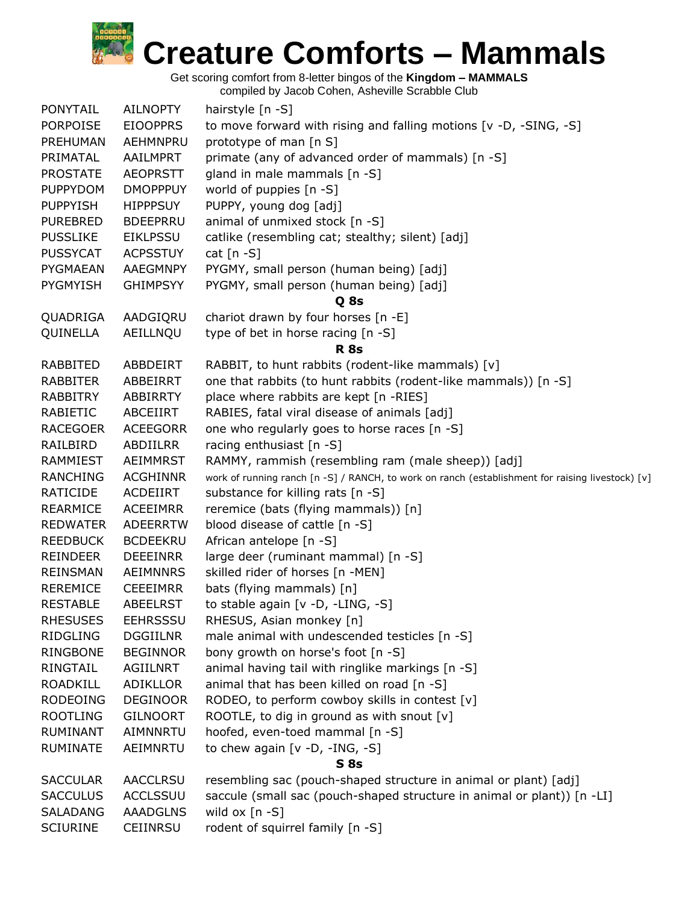

Get scoring comfort from 8-letter bingos of the **Kingdom – MAMMALS**

|                 |                 | compiled by Jacob Cohen, Asheville Scrabble Club                                                 |
|-----------------|-----------------|--------------------------------------------------------------------------------------------------|
| PONYTAIL        | <b>AILNOPTY</b> | hairstyle [n -S]                                                                                 |
| PORPOISE        | <b>EIOOPPRS</b> | to move forward with rising and falling motions [v -D, -SING, -S]                                |
| PREHUMAN        | AEHMNPRU        | prototype of man [n S]                                                                           |
| PRIMATAL        | AAILMPRT        | primate (any of advanced order of mammals) [n -S]                                                |
| <b>PROSTATE</b> | <b>AEOPRSTT</b> | gland in male mammals [n -S]                                                                     |
| <b>PUPPYDOM</b> | <b>DMOPPPUY</b> | world of puppies [n -S]                                                                          |
| PUPPYISH        | <b>HIPPPSUY</b> | PUPPY, young dog [adj]                                                                           |
| <b>PUREBRED</b> | <b>BDEEPRRU</b> | animal of unmixed stock [n -S]                                                                   |
| PUSSLIKE        | <b>EIKLPSSU</b> | catlike (resembling cat; stealthy; silent) [adj]                                                 |
| <b>PUSSYCAT</b> | <b>ACPSSTUY</b> | cat $[n - S]$                                                                                    |
| PYGMAEAN        | AAEGMNPY        | PYGMY, small person (human being) [adj]                                                          |
| PYGMYISH        | <b>GHIMPSYY</b> | PYGMY, small person (human being) [adj]                                                          |
|                 |                 | Q 8s                                                                                             |
| QUADRIGA        | AADGIQRU        | chariot drawn by four horses [n -E]                                                              |
| QUINELLA        | AEILLNQU        | type of bet in horse racing [n -S]                                                               |
|                 |                 | <b>R</b> 8s                                                                                      |
| RABBITED        | ABBDEIRT        | RABBIT, to hunt rabbits (rodent-like mammals) [v]                                                |
| RABBITER        | ABBEIRRT        | one that rabbits (to hunt rabbits (rodent-like mammals)) [n -S]                                  |
| RABBITRY        | ABBIRRTY        | place where rabbits are kept [n -RIES]                                                           |
| RABIETIC        | ABCEIIRT        | RABIES, fatal viral disease of animals [adj]                                                     |
| RACEGOER        | <b>ACEEGORR</b> | one who regularly goes to horse races [n -S]                                                     |
| RAILBIRD        | ABDIILRR        | racing enthusiast [n -S]                                                                         |
| RAMMIEST        | AEIMMRST        | RAMMY, rammish (resembling ram (male sheep)) [adj]                                               |
| <b>RANCHING</b> | <b>ACGHINNR</b> | work of running ranch [n -S] / RANCH, to work on ranch (establishment for raising livestock) [v] |
| RATICIDE        | ACDEIIRT        | substance for killing rats [n -S]                                                                |
| REARMICE        | <b>ACEEIMRR</b> | reremice (bats (flying mammals)) [n]                                                             |
| <b>REDWATER</b> | <b>ADEERRTW</b> | blood disease of cattle [n -S]                                                                   |
| <b>REEDBUCK</b> | <b>BCDEEKRU</b> | African antelope [n -S]                                                                          |
| <b>REINDEER</b> | <b>DEEEINRR</b> | large deer (ruminant mammal) [n -S]                                                              |
| REINSMAN        | <b>AEIMNNRS</b> | skilled rider of horses [n -MEN]                                                                 |
| REREMICE        | <b>CEEEIMRR</b> | bats (flying mammals) [n]                                                                        |
| <b>RESTABLE</b> | <b>ABEELRST</b> | to stable again [v -D, -LING, -S]                                                                |
| <b>RHESUSES</b> | <b>EEHRSSSU</b> | RHESUS, Asian monkey [n]                                                                         |
| RIDGLING        | <b>DGGIILNR</b> | male animal with undescended testicles [n -S]                                                    |
| RINGBONE        | <b>BEGINNOR</b> | bony growth on horse's foot [n -S]                                                               |
| RINGTAIL        | AGIILNRT        | animal having tail with ringlike markings [n -S]                                                 |
| ROADKILL        | <b>ADIKLLOR</b> | animal that has been killed on road [n -S]                                                       |
| RODEOING        | <b>DEGINOOR</b> | RODEO, to perform cowboy skills in contest [v]                                                   |
| <b>ROOTLING</b> | <b>GILNOORT</b> | ROOTLE, to dig in ground as with snout [v]                                                       |
| RUMINANT        | AIMNNRTU        | hoofed, even-toed mammal [n -S]                                                                  |
| RUMINATE        | AEIMNRTU        | to chew again [ $v$ -D, -ING, -S]                                                                |
|                 |                 | <b>S</b> 8s                                                                                      |
| SACCULAR        | <b>AACCLRSU</b> | resembling sac (pouch-shaped structure in animal or plant) [adj]                                 |
| <b>SACCULUS</b> | <b>ACCLSSUU</b> | saccule (small sac (pouch-shaped structure in animal or plant)) [n -LI]                          |
| SALADANG        | <b>AAADGLNS</b> | wild ox $[n - S]$                                                                                |
| SCIURINE        | CEIINRSU        | rodent of squirrel family [n -S]                                                                 |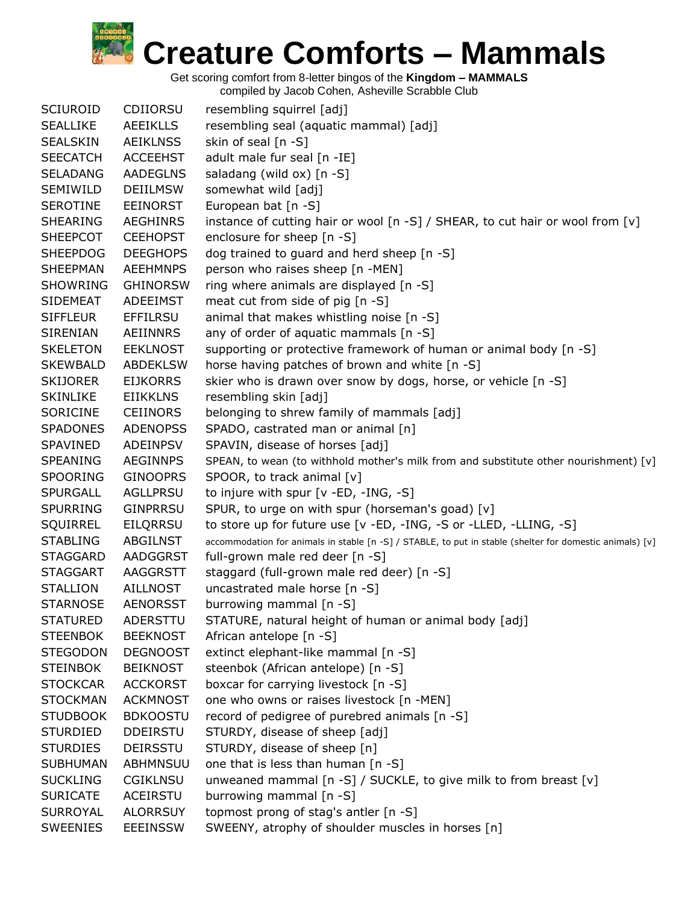Get scoring comfort from 8-letter bingos of the **Kingdom – MAMMALS**

| <b>SCIUROID</b> | CDIIORSU        | resembling squirrel [adj]                                                                                |
|-----------------|-----------------|----------------------------------------------------------------------------------------------------------|
| <b>SEALLIKE</b> | <b>AEEIKLLS</b> | resembling seal (aquatic mammal) [adj]                                                                   |
| <b>SEALSKIN</b> | <b>AEIKLNSS</b> | skin of seal [n -S]                                                                                      |
| <b>SEECATCH</b> | <b>ACCEEHST</b> | adult male fur seal [n -IE]                                                                              |
| <b>SELADANG</b> | <b>AADEGLNS</b> | saladang (wild ox) [n -S]                                                                                |
| SEMIWILD        | <b>DEIILMSW</b> | somewhat wild [adj]                                                                                      |
| <b>SEROTINE</b> | <b>EEINORST</b> | European bat [n -S]                                                                                      |
| <b>SHEARING</b> | <b>AEGHINRS</b> | instance of cutting hair or wool [n -S] / SHEAR, to cut hair or wool from [v]                            |
| <b>SHEEPCOT</b> | <b>CEEHOPST</b> | enclosure for sheep [n -S]                                                                               |
| <b>SHEEPDOG</b> | <b>DEEGHOPS</b> | dog trained to guard and herd sheep [n -S]                                                               |
| <b>SHEEPMAN</b> | <b>AEEHMNPS</b> | person who raises sheep [n -MEN]                                                                         |
| <b>SHOWRING</b> | <b>GHINORSW</b> | ring where animals are displayed [n -S]                                                                  |
| <b>SIDEMEAT</b> | ADEEIMST        | meat cut from side of pig [n -S]                                                                         |
| <b>SIFFLEUR</b> | <b>EFFILRSU</b> | animal that makes whistling noise [n -S]                                                                 |
| <b>SIRENIAN</b> | <b>AEIINNRS</b> | any of order of aquatic mammals [n -S]                                                                   |
| <b>SKELETON</b> | <b>EEKLNOST</b> | supporting or protective framework of human or animal body [n -S]                                        |
| <b>SKEWBALD</b> | <b>ABDEKLSW</b> | horse having patches of brown and white [n -S]                                                           |
| <b>SKIJORER</b> | <b>EIJKORRS</b> | skier who is drawn over snow by dogs, horse, or vehicle [n -S]                                           |
| <b>SKINLIKE</b> | <b>EIIKKLNS</b> | resembling skin [adj]                                                                                    |
| <b>SORICINE</b> | <b>CEIINORS</b> | belonging to shrew family of mammals [adj]                                                               |
| <b>SPADONES</b> | <b>ADENOPSS</b> | SPADO, castrated man or animal [n]                                                                       |
| SPAVINED        | ADEINPSV        | SPAVIN, disease of horses [adj]                                                                          |
| <b>SPEANING</b> | <b>AEGINNPS</b> | SPEAN, to wean (to withhold mother's milk from and substitute other nourishment) [v]                     |
| <b>SPOORING</b> | <b>GINOOPRS</b> | SPOOR, to track animal [v]                                                                               |
| <b>SPURGALL</b> | AGLLPRSU        | to injure with spur [v -ED, -ING, -S]                                                                    |
| <b>SPURRING</b> | <b>GINPRRSU</b> | SPUR, to urge on with spur (horseman's goad) [v]                                                         |
| SQUIRREL        | EILQRRSU        | to store up for future use [v -ED, -ING, -S or -LLED, -LLING, -S]                                        |
| <b>STABLING</b> | ABGILNST        | accommodation for animals in stable [n -S] / STABLE, to put in stable (shelter for domestic animals) [v] |
| <b>STAGGARD</b> | AADGGRST        | full-grown male red deer [n -S]                                                                          |
| <b>STAGGART</b> | AAGGRSTT        | staggard (full-grown male red deer) [n -S]                                                               |
| <b>STALLION</b> | <b>AILLNOST</b> | uncastrated male horse [n -S]                                                                            |
| <b>STARNOSE</b> | <b>AENORSST</b> | burrowing mammal [n -S]                                                                                  |
| <b>STATURED</b> | ADERSTTU        | STATURE, natural height of human or animal body [adj]                                                    |
| <b>STEENBOK</b> | <b>BEEKNOST</b> | African antelope [n -S]                                                                                  |
| <b>STEGODON</b> | <b>DEGNOOST</b> | extinct elephant-like mammal [n -S]                                                                      |
| <b>STEINBOK</b> | <b>BEIKNOST</b> | steenbok (African antelope) [n -S]                                                                       |
| <b>STOCKCAR</b> | <b>ACCKORST</b> | boxcar for carrying livestock [n -S]                                                                     |
| <b>STOCKMAN</b> | <b>ACKMNOST</b> | one who owns or raises livestock [n -MEN]                                                                |
| <b>STUDBOOK</b> | <b>BDKOOSTU</b> | record of pedigree of purebred animals [n -S]                                                            |
| <b>STURDIED</b> | <b>DDEIRSTU</b> | STURDY, disease of sheep [adj]                                                                           |
| <b>STURDIES</b> | <b>DEIRSSTU</b> | STURDY, disease of sheep [n]                                                                             |
| <b>SUBHUMAN</b> | ABHMNSUU        | one that is less than human [n -S]                                                                       |
| <b>SUCKLING</b> | <b>CGIKLNSU</b> | unweaned mammal [n -S] / SUCKLE, to give milk to from breast [v]                                         |
| <b>SURICATE</b> | ACEIRSTU        | burrowing mammal [n -S]                                                                                  |
| <b>SURROYAL</b> | <b>ALORRSUY</b> | topmost prong of stag's antler [n -S]                                                                    |
| <b>SWEENIES</b> | <b>EEEINSSW</b> | SWEENY, atrophy of shoulder muscles in horses [n]                                                        |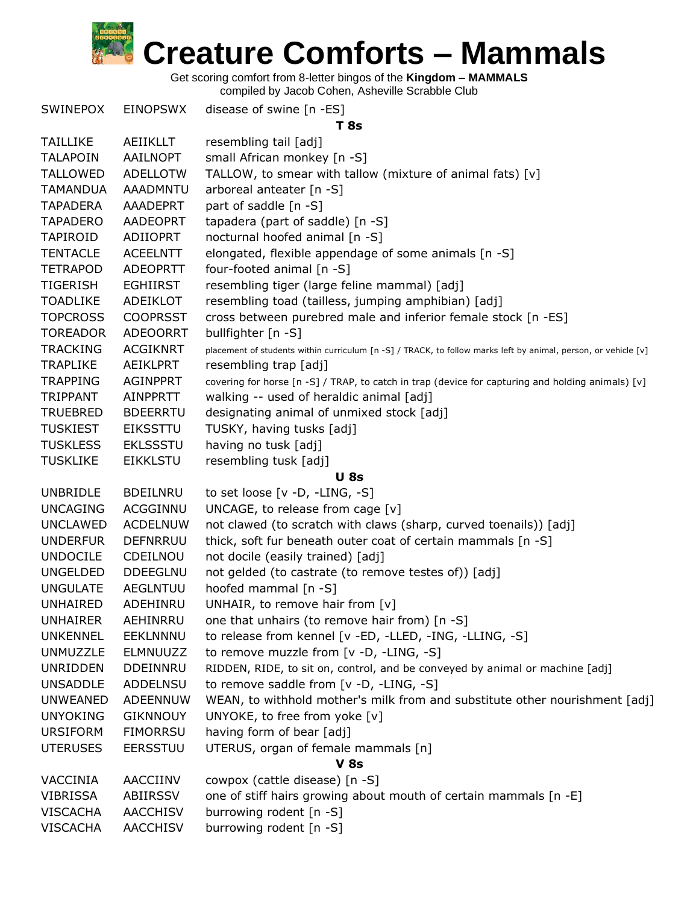Get scoring comfort from 8-letter bingos of the **Kingdom – MAMMALS**

| <b>SWINEPOX</b>                    | EINOPSWX                           | disease of swine [n -ES]<br><b>T</b> 8s                                                                        |
|------------------------------------|------------------------------------|----------------------------------------------------------------------------------------------------------------|
| <b>TAILLIKE</b>                    | AEIIKLLT                           | resembling tail [adj]                                                                                          |
| <b>TALAPOIN</b>                    | AAILNOPT                           | small African monkey [n -S]                                                                                    |
| <b>TALLOWED</b>                    | <b>ADELLOTW</b>                    | TALLOW, to smear with tallow (mixture of animal fats) [v]                                                      |
| <b>TAMANDUA</b>                    | <b>AAADMNTU</b>                    | arboreal anteater [n -S]                                                                                       |
| <b>TAPADERA</b>                    | AAADEPRT                           | part of saddle [n -S]                                                                                          |
| <b>TAPADERO</b>                    | <b>AADEOPRT</b>                    | tapadera (part of saddle) [n -S]                                                                               |
| TAPIROID                           | ADIIOPRT                           | nocturnal hoofed animal [n -S]                                                                                 |
| <b>TENTACLE</b>                    | <b>ACEELNTT</b>                    | elongated, flexible appendage of some animals [n -S]                                                           |
| <b>TETRAPOD</b>                    | <b>ADEOPRTT</b>                    | four-footed animal [n -S]                                                                                      |
| <b>TIGERISH</b>                    | <b>EGHIIRST</b>                    | resembling tiger (large feline mammal) [adj]                                                                   |
| <b>TOADLIKE</b>                    | ADEIKLOT                           | resembling toad (tailless, jumping amphibian) [adj]                                                            |
| <b>TOPCROSS</b>                    | <b>COOPRSST</b>                    | cross between purebred male and inferior female stock [n -ES]                                                  |
| <b>TOREADOR</b>                    | <b>ADEOORRT</b>                    | bullfighter [n -S]                                                                                             |
| <b>TRACKING</b>                    | <b>ACGIKNRT</b>                    | placement of students within curriculum [n -S] / TRACK, to follow marks left by animal, person, or vehicle [v] |
| <b>TRAPLIKE</b>                    | AEIKLPRT                           | resembling trap [adj]                                                                                          |
| <b>TRAPPING</b>                    | <b>AGINPPRT</b>                    | covering for horse [n -S] / TRAP, to catch in trap (device for capturing and holding animals) [v]              |
| <b>TRIPPANT</b>                    | <b>AINPPRTT</b>                    | walking -- used of heraldic animal [adj]                                                                       |
| <b>TRUEBRED</b>                    | <b>BDEERRTU</b>                    | designating animal of unmixed stock [adj]                                                                      |
| <b>TUSKIEST</b>                    | <b>EIKSSTTU</b>                    | TUSKY, having tusks [adj]                                                                                      |
| <b>TUSKLESS</b>                    | <b>EKLSSSTU</b>                    | having no tusk [adj]                                                                                           |
| <b>TUSKLIKE</b>                    | <b>EIKKLSTU</b>                    | resembling tusk [adj]                                                                                          |
|                                    |                                    | <b>U</b> 8s                                                                                                    |
| <b>UNBRIDLE</b>                    | <b>BDEILNRU</b>                    | to set loose $[v -D, -LING, -S]$                                                                               |
| <b>UNCAGING</b>                    | ACGGINNU                           | UNCAGE, to release from cage [v]                                                                               |
| <b>UNCLAWED</b>                    | <b>ACDELNUW</b>                    | not clawed (to scratch with claws (sharp, curved toenails)) [adj]                                              |
| <b>UNDERFUR</b>                    | <b>DEFNRRUU</b>                    | thick, soft fur beneath outer coat of certain mammals [n -S]                                                   |
| <b>UNDOCILE</b>                    | CDEILNOU                           | not docile (easily trained) [adj]                                                                              |
| <b>UNGELDED</b>                    | <b>DDEEGLNU</b>                    | not gelded (to castrate (to remove testes of)) [adj]                                                           |
| <b>UNGULATE</b>                    | <b>AEGLNTUU</b>                    | hoofed mammal [n -S]                                                                                           |
| <b>UNHAIRED</b>                    | ADEHINRU                           | UNHAIR, to remove hair from [v]                                                                                |
| <b>UNHAIRER</b>                    | AEHINRRU                           | one that unhairs (to remove hair from) [n -S]                                                                  |
| <b>UNKENNEL</b>                    | EEKLNNNU                           | to release from kennel [v -ED, -LLED, -ING, -LLING, -S]                                                        |
| UNMUZZLE                           | ELMNUUZZ                           | to remove muzzle from [v -D, -LING, -S]                                                                        |
| <b>UNRIDDEN</b>                    | DDEINNRU                           | RIDDEN, RIDE, to sit on, control, and be conveyed by animal or machine [adj]                                   |
| <b>UNSADDLE</b>                    | <b>ADDELNSU</b>                    | to remove saddle from [v -D, -LING, -S]                                                                        |
| <b>UNWEANED</b>                    | ADEENNUW                           | WEAN, to withhold mother's milk from and substitute other nourishment [adj]                                    |
| <b>UNYOKING</b>                    | <b>GIKNNOUY</b>                    | UNYOKE, to free from yoke [v]                                                                                  |
| <b>URSIFORM</b>                    | <b>FIMORRSU</b>                    | having form of bear [adj]                                                                                      |
| <b>UTERUSES</b>                    | <b>EERSSTUU</b>                    | UTERUS, organ of female mammals [n]                                                                            |
|                                    |                                    | <b>V 8s</b>                                                                                                    |
| VACCINIA                           |                                    |                                                                                                                |
|                                    | AACCIINV                           | cowpox (cattle disease) [n -S]                                                                                 |
| <b>VIBRISSA</b>                    | ABIIRSSV                           | one of stiff hairs growing about mouth of certain mammals [n -E]                                               |
| <b>VISCACHA</b><br><b>VISCACHA</b> | <b>AACCHISV</b><br><b>AACCHISV</b> | burrowing rodent [n -S]<br>burrowing rodent [n -S]                                                             |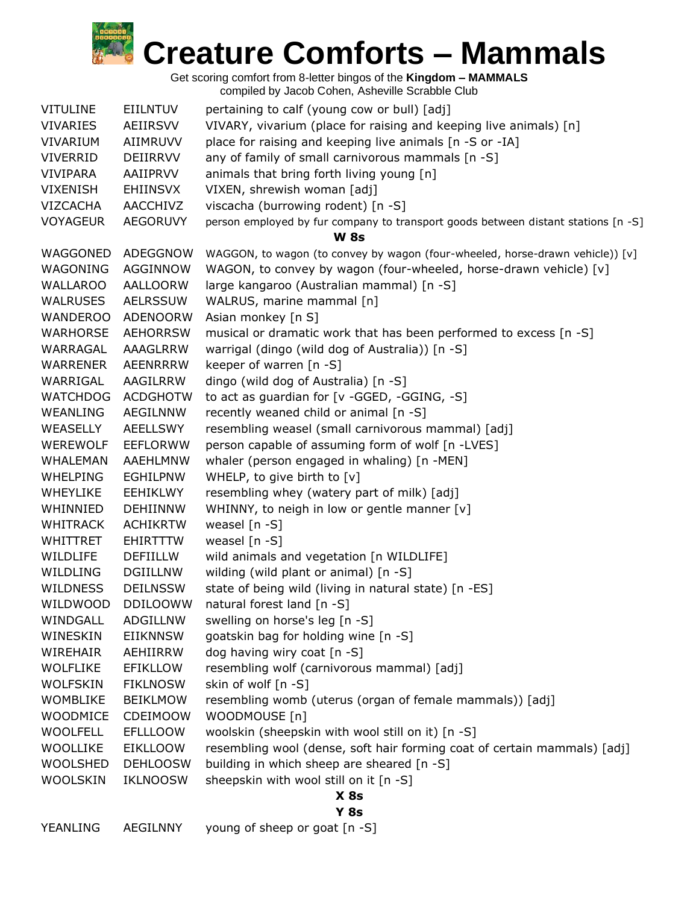

Get scoring comfort from 8-letter bingos of the **Kingdom – MAMMALS** compiled by Jacob Cohen, Asheville Scrabble Club

| <b>VITULINE</b> | <b>EIILNTUV</b> | pertaining to calf (young cow or bull) [adj]                                      |  |  |
|-----------------|-----------------|-----------------------------------------------------------------------------------|--|--|
| <b>VIVARIES</b> | AEIIRSVV        | VIVARY, vivarium (place for raising and keeping live animals) [n]                 |  |  |
| VIVARIUM        | AIIMRUVV        | place for raising and keeping live animals [n -S or -IA]                          |  |  |
| <b>VIVERRID</b> | DEIIRRVV        | any of family of small carnivorous mammals [n -S]                                 |  |  |
| <b>VIVIPARA</b> | AAIIPRVV        | animals that bring forth living young [n]                                         |  |  |
| <b>VIXENISH</b> | <b>EHIINSVX</b> | VIXEN, shrewish woman [adj]                                                       |  |  |
| <b>VIZCACHA</b> | <b>AACCHIVZ</b> | viscacha (burrowing rodent) [n -S]                                                |  |  |
| <b>VOYAGEUR</b> | <b>AEGORUVY</b> | person employed by fur company to transport goods between distant stations [n -S] |  |  |
|                 |                 | <b>W 8s</b>                                                                       |  |  |
| WAGGONED        | ADEGGNOW        | WAGGON, to wagon (to convey by wagon (four-wheeled, horse-drawn vehicle)) [v]     |  |  |
| WAGONING        | AGGINNOW        | WAGON, to convey by wagon (four-wheeled, horse-drawn vehicle) [v]                 |  |  |
| WALLAROO        | AALLOORW        | large kangaroo (Australian mammal) [n -S]                                         |  |  |
| WALRUSES        | <b>AELRSSUW</b> | WALRUS, marine mammal [n]                                                         |  |  |
| <b>WANDEROO</b> | ADENOORW        | Asian monkey [n S]                                                                |  |  |
| WARHORSE        | <b>AEHORRSW</b> | musical or dramatic work that has been performed to excess [n -S]                 |  |  |
| WARRAGAL        | AAAGLRRW        | warrigal (dingo (wild dog of Australia)) [n -S]                                   |  |  |
| <b>WARRENER</b> | <b>AEENRRRW</b> | keeper of warren [n -S]                                                           |  |  |
| WARRIGAL        | AAGILRRW        | dingo (wild dog of Australia) [n -S]                                              |  |  |
| <b>WATCHDOG</b> | <b>ACDGHOTW</b> | to act as guardian for [v -GGED, -GGING, -S]                                      |  |  |
| WEANLING        | AEGILNNW        | recently weaned child or animal [n -S]                                            |  |  |
| WEASELLY        | AEELLSWY        | resembling weasel (small carnivorous mammal) [adj]                                |  |  |
| <b>WEREWOLF</b> | <b>EEFLORWW</b> | person capable of assuming form of wolf [n -LVES]                                 |  |  |
| <b>WHALEMAN</b> | AAEHLMNW        | whaler (person engaged in whaling) [n -MEN]                                       |  |  |
| <b>WHELPING</b> | <b>EGHILPNW</b> | WHELP, to give birth to [v]                                                       |  |  |
| <b>WHEYLIKE</b> | EEHIKLWY        | resembling whey (watery part of milk) [adj]                                       |  |  |
| WHINNIED        | <b>DEHIINNW</b> | WHINNY, to neigh in low or gentle manner [v]                                      |  |  |
| <b>WHITRACK</b> | <b>ACHIKRTW</b> | weasel $[n - S]$                                                                  |  |  |
| <b>WHITTRET</b> | EHIRTTTW        | weasel $[n - S]$                                                                  |  |  |
| WILDLIFE        | <b>DEFIILLW</b> | wild animals and vegetation [n WILDLIFE]                                          |  |  |
| WILDLING        | <b>DGIILLNW</b> | wilding (wild plant or animal) [n -S]                                             |  |  |
| <b>WILDNESS</b> | <b>DEILNSSW</b> | state of being wild (living in natural state) [n -ES]                             |  |  |
| WILDWOOD        | <b>DDILOOWW</b> | natural forest land [n -S]                                                        |  |  |
| WINDGALL        | <b>ADGILLNW</b> | swelling on horse's leg [n -S]                                                    |  |  |
| WINESKIN        | <b>EIIKNNSW</b> | goatskin bag for holding wine [n -S]                                              |  |  |
| WIREHAIR        | AEHIIRRW        | dog having wiry coat [n -S]                                                       |  |  |
| <b>WOLFLIKE</b> | EFIKLLOW        | resembling wolf (carnivorous mammal) [adj]                                        |  |  |
| <b>WOLFSKIN</b> | <b>FIKLNOSW</b> | skin of wolf [n -S]                                                               |  |  |
| <b>WOMBLIKE</b> | <b>BEIKLMOW</b> | resembling womb (uterus (organ of female mammals)) [adj]                          |  |  |
| <b>WOODMICE</b> | <b>CDEIMOOW</b> | WOODMOUSE [n]                                                                     |  |  |
| <b>WOOLFELL</b> | EFLLLOOW        | woolskin (sheepskin with wool still on it) [n -S]                                 |  |  |
| <b>WOOLLIKE</b> | EIKLLOOW        | resembling wool (dense, soft hair forming coat of certain mammals) [adj]          |  |  |
| <b>WOOLSHED</b> | <b>DEHLOOSW</b> | building in which sheep are sheared [n -S]                                        |  |  |
| <b>WOOLSKIN</b> | <b>IKLNOOSW</b> | sheepskin with wool still on it [n -S]                                            |  |  |
|                 |                 | $X$ 8s                                                                            |  |  |
| $Y$ 8s          |                 |                                                                                   |  |  |

YEANLING AEGILNNY young of sheep or goat [n -S]